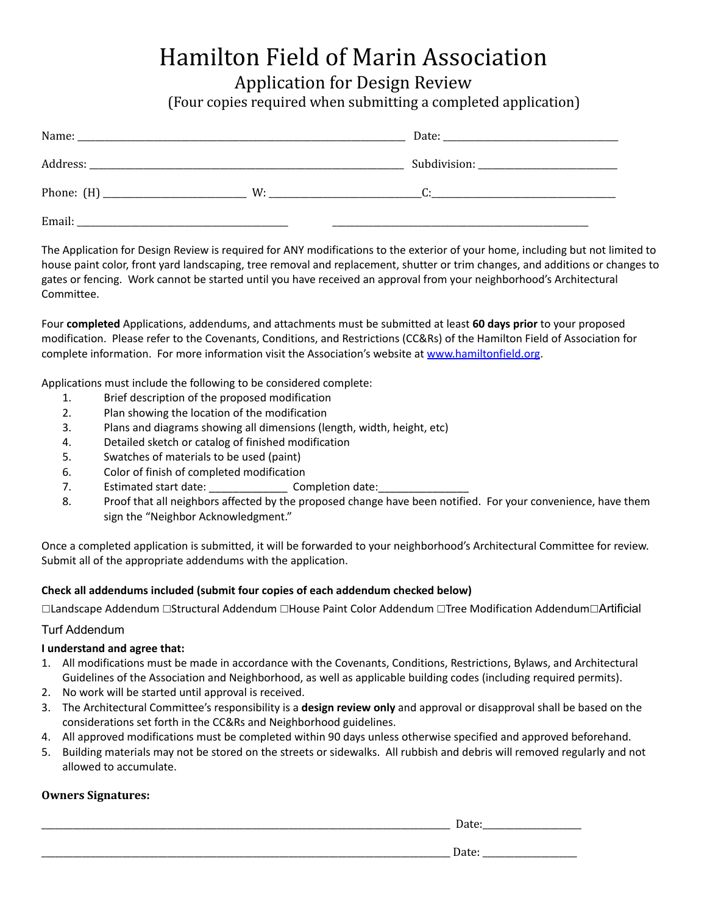# Hamilton Field of Marin Association

Application for Design Review

(Four copies required when submitting a completed application)

| Name:<br><u> 1980 - Jan James James James James James James James James James James James James James James James James J</u> |    |                                                                                                                                                                                                                              |
|-------------------------------------------------------------------------------------------------------------------------------|----|------------------------------------------------------------------------------------------------------------------------------------------------------------------------------------------------------------------------------|
|                                                                                                                               |    |                                                                                                                                                                                                                              |
|                                                                                                                               | W: | $C:$ and $C:$ and $C:$ and $C:$ and $C:$ and $C:$ and $C:$ and $C:$ and $C:$ and $C:$ and $C:$ and $C:$ and $C:$ and $C:$ and $C:$ and $C:$ and $C:$ and $C:$ and $C:$ and $C:$ and $C:$ and $C:$ and $C:$ and $C:$ and $C:$ |
| Email:<br>the control of the control of the control of the control of the control of the control of                           |    |                                                                                                                                                                                                                              |

The Application for Design Review is required for ANY modifications to the exterior of your home, including but not limited to house paint color, front yard landscaping, tree removal and replacement, shutter or trim changes, and additions or changes to gates or fencing. Work cannot be started until you have received an approval from your neighborhood's Architectural Committee.

Four **completed** Applications, addendums, and attachments must be submitted at least **60 days prior** to your proposed modification. Please refer to the Covenants, Conditions, and Restrictions (CC&Rs) of the Hamilton Field of Association for complete information. For more information visit the Association's website at [www.hamiltonfield.org.](http://www.hamiltonfield.org)

Applications must include the following to be considered complete:

- 1. Brief description of the proposed modification
- 2. Plan showing the location of the modification
- 3. Plans and diagrams showing all dimensions (length, width, height, etc)
- 4. Detailed sketch or catalog of finished modification
- 5. Swatches of materials to be used (paint)
- 6. Color of finish of completed modification
- 7. Estimated start date: Completion date:
- 8. Proof that all neighbors affected by the proposed change have been notified. For your convenience, have them sign the "Neighbor Acknowledgment."

Once a completed application is submitted, it will be forwarded to your neighborhood's Architectural Committee for review. Submit all of the appropriate addendums with the application.

# **Check all addendums included (submit four copies of each addendum checked below)**

□Landscape Addendum □Structural Addendum □House Paint Color Addendum □Tree Modification Addendum□Artificial

# Turf Addendum

# **I understand and agree that:**

- 1. All modifications must be made in accordance with the Covenants, Conditions, Restrictions, Bylaws, and Architectural Guidelines of the Association and Neighborhood, as well as applicable building codes (including required permits).
- 2. No work will be started until approval is received.
- 3. The Architectural Committee's responsibility is a **design review only** and approval or disapproval shall be based on the considerations set forth in the CC&Rs and Neighborhood guidelines.
- 4. All approved modifications must be completed within 90 days unless otherwise specified and approved beforehand.
- 5. Building materials may not be stored on the streets or sidewalks. All rubbish and debris will removed regularly and not allowed to accumulate.

# **Owners Signatures:**

\_\_\_\_\_\_\_\_\_\_\_\_\_\_\_\_\_\_\_\_\_\_\_\_\_\_\_\_\_\_\_\_\_\_\_\_\_\_\_\_\_\_\_\_\_\_\_\_\_\_\_\_\_\_\_\_\_\_\_\_\_\_\_\_\_\_\_\_\_\_\_\_\_\_\_\_\_\_\_\_\_\_\_\_\_\_\_\_\_\_\_ Date:\_\_\_\_\_\_\_\_\_\_\_\_\_\_\_\_\_\_\_\_\_\_

\_\_\_\_\_\_\_\_\_\_\_\_\_\_\_\_\_\_\_\_\_\_\_\_\_\_\_\_\_\_\_\_\_\_\_\_\_\_\_\_\_\_\_\_\_\_\_\_\_\_\_\_\_\_\_\_\_\_\_\_\_\_\_\_\_\_\_\_\_\_\_\_\_\_\_\_\_\_\_\_\_\_\_\_\_\_\_\_\_\_\_ Date: \_\_\_\_\_\_\_\_\_\_\_\_\_\_\_\_\_\_\_\_\_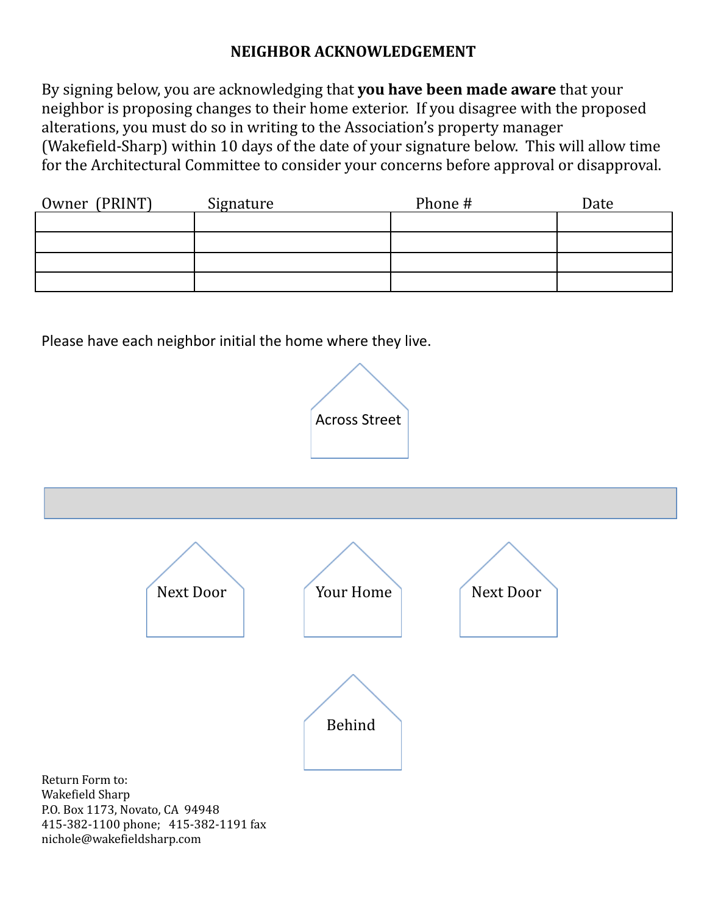# **NEIGHBOR ACKNOWLEDGEMENT**

By signing below, you are acknowledging that **you have been made aware** that your neighbor is proposing changes to their home exterior. If you disagree with the proposed alterations, you must do so in writing to the Association's property manager (Wakefield-Sharp) within 10 days of the date of your signature below. This will allow time for the Architectural Committee to consider your concerns before approval or disapproval.

| Owner (PRINT) | Signature | Phone # | Date |
|---------------|-----------|---------|------|
|               |           |         |      |
|               |           |         |      |
|               |           |         |      |
|               |           |         |      |

Please have each neighbor initial the home where they live.

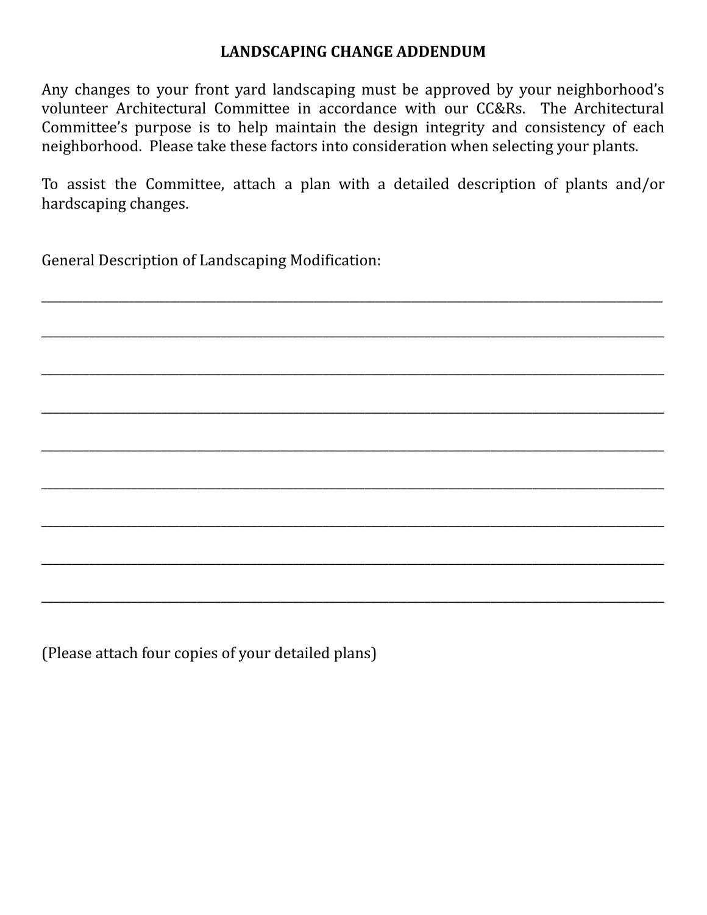# **LANDSCAPING CHANGE ADDENDUM**

Any changes to your front yard landscaping must be approved by your neighborhood's volunteer Architectural Committee in accordance with our CC&Rs. The Architectural Committee's purpose is to help maintain the design integrity and consistency of each neighborhood. Please take these factors into consideration when selecting your plants.

To assist the Committee, attach a plan with a detailed description of plants and/or hardscaping changes.

\_\_\_\_\_\_\_\_\_\_\_\_\_\_\_\_\_\_\_\_\_\_\_\_\_\_\_\_\_\_\_\_\_\_\_\_\_\_\_\_\_\_\_\_\_\_\_\_\_\_\_\_\_\_\_\_\_\_\_\_\_\_\_\_\_\_\_\_\_\_\_\_\_\_\_\_\_\_\_\_\_\_\_\_\_\_\_\_\_\_\_\_\_\_\_\_\_\_\_\_\_\_\_\_\_\_\_\_\_\_\_\_\_\_\_\_\_\_\_\_\_

\_\_\_\_\_\_\_\_\_\_\_\_\_\_\_\_\_\_\_\_\_\_\_\_\_\_\_\_\_\_\_\_\_\_\_\_\_\_\_\_\_\_\_\_\_\_\_\_\_\_\_\_\_\_\_\_\_\_\_\_\_\_\_\_\_\_\_\_\_\_\_\_\_\_\_\_\_\_\_\_\_\_\_\_\_\_\_\_\_\_\_\_\_\_\_\_\_\_\_\_\_\_\_\_

\_\_\_\_\_\_\_\_\_\_\_\_\_\_\_\_\_\_\_\_\_\_\_\_\_\_\_\_\_\_\_\_\_\_\_\_\_\_\_\_\_\_\_\_\_\_\_\_\_\_\_\_\_\_\_\_\_\_\_\_\_\_\_\_\_\_\_\_\_\_\_\_\_\_\_\_\_\_\_\_\_\_\_\_\_\_\_\_\_\_\_\_\_\_\_\_\_\_\_\_\_\_\_\_

\_\_\_\_\_\_\_\_\_\_\_\_\_\_\_\_\_\_\_\_\_\_\_\_\_\_\_\_\_\_\_\_\_\_\_\_\_\_\_\_\_\_\_\_\_\_\_\_\_\_\_\_\_\_\_\_\_\_\_\_\_\_\_\_\_\_\_\_\_\_\_\_\_\_\_\_\_\_\_\_\_\_\_\_\_\_\_\_\_\_\_\_\_\_\_\_\_\_\_\_\_\_\_\_

\_\_\_\_\_\_\_\_\_\_\_\_\_\_\_\_\_\_\_\_\_\_\_\_\_\_\_\_\_\_\_\_\_\_\_\_\_\_\_\_\_\_\_\_\_\_\_\_\_\_\_\_\_\_\_\_\_\_\_\_\_\_\_\_\_\_\_\_\_\_\_\_\_\_\_\_\_\_\_\_\_\_\_\_\_\_\_\_\_\_\_\_\_\_\_\_\_\_\_\_\_\_\_\_

\_\_\_\_\_\_\_\_\_\_\_\_\_\_\_\_\_\_\_\_\_\_\_\_\_\_\_\_\_\_\_\_\_\_\_\_\_\_\_\_\_\_\_\_\_\_\_\_\_\_\_\_\_\_\_\_\_\_\_\_\_\_\_\_\_\_\_\_\_\_\_\_\_\_\_\_\_\_\_\_\_\_\_\_\_\_\_\_\_\_\_\_\_\_\_\_\_\_\_\_\_\_\_\_

\_\_\_\_\_\_\_\_\_\_\_\_\_\_\_\_\_\_\_\_\_\_\_\_\_\_\_\_\_\_\_\_\_\_\_\_\_\_\_\_\_\_\_\_\_\_\_\_\_\_\_\_\_\_\_\_\_\_\_\_\_\_\_\_\_\_\_\_\_\_\_\_\_\_\_\_\_\_\_\_\_\_\_\_\_\_\_\_\_\_\_\_\_\_\_\_\_\_\_\_\_\_\_\_

\_\_\_\_\_\_\_\_\_\_\_\_\_\_\_\_\_\_\_\_\_\_\_\_\_\_\_\_\_\_\_\_\_\_\_\_\_\_\_\_\_\_\_\_\_\_\_\_\_\_\_\_\_\_\_\_\_\_\_\_\_\_\_\_\_\_\_\_\_\_\_\_\_\_\_\_\_\_\_\_\_\_\_\_\_\_\_\_\_\_\_\_\_\_\_\_\_\_\_\_\_\_\_\_

\_\_\_\_\_\_\_\_\_\_\_\_\_\_\_\_\_\_\_\_\_\_\_\_\_\_\_\_\_\_\_\_\_\_\_\_\_\_\_\_\_\_\_\_\_\_\_\_\_\_\_\_\_\_\_\_\_\_\_\_\_\_\_\_\_\_\_\_\_\_\_\_\_\_\_\_\_\_\_\_\_\_\_\_\_\_\_\_\_\_\_\_\_\_\_\_\_\_\_\_\_\_\_\_

General Description of Landscaping Modification:

(Please attach four copies of your detailed plans)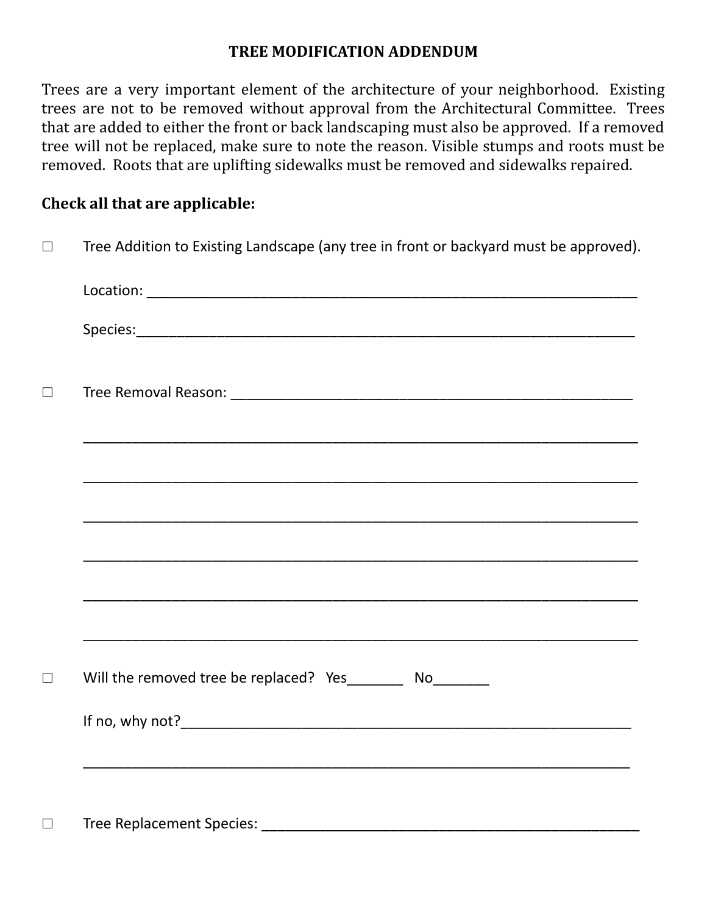# **TREE MODIFICATION ADDENDUM**

Trees are a very important element of the architecture of your neighborhood. Existing trees are not to be removed without approval from the Architectural Committee. Trees that are added to either the front or back landscaping must also be approved. If a removed tree will not be replaced, make sure to note the reason. Visible stumps and roots must be removed. Roots that are uplifting sidewalks must be removed and sidewalks repaired.

# **Check all that are applicable:**

| $\Box$ | Tree Addition to Existing Landscape (any tree in front or backyard must be approved).                                     |  |  |
|--------|---------------------------------------------------------------------------------------------------------------------------|--|--|
|        |                                                                                                                           |  |  |
|        |                                                                                                                           |  |  |
| $\Box$ |                                                                                                                           |  |  |
|        |                                                                                                                           |  |  |
|        |                                                                                                                           |  |  |
|        |                                                                                                                           |  |  |
|        |                                                                                                                           |  |  |
|        | <u> 1989 - Johann Stoff, amerikansk politiker (d. 1989)</u><br>Will the removed tree be replaced? Yes_________ No________ |  |  |
|        |                                                                                                                           |  |  |
|        |                                                                                                                           |  |  |
| $\Box$ |                                                                                                                           |  |  |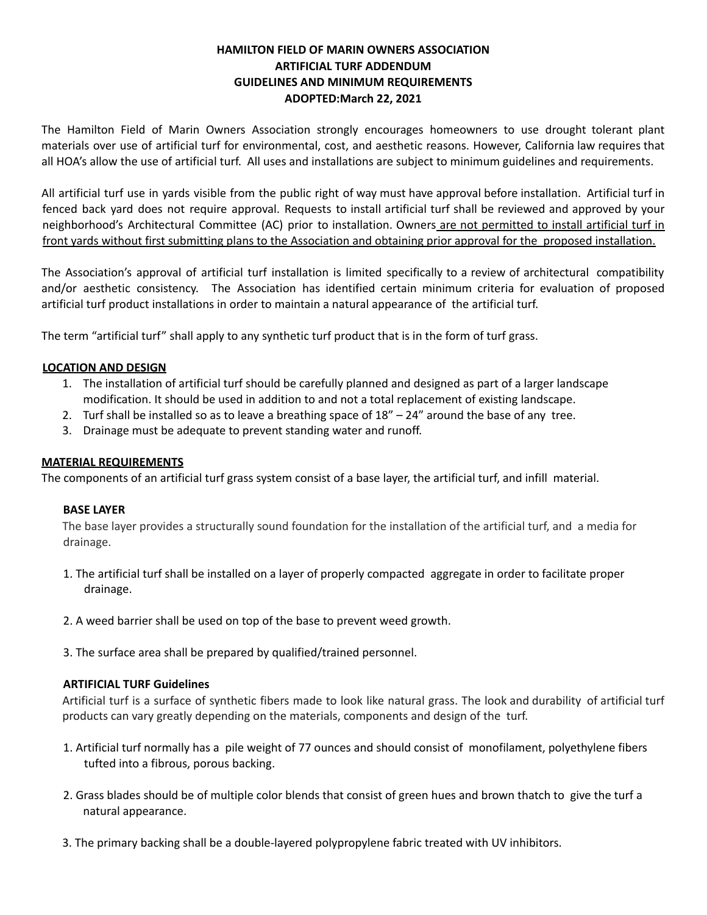# **HAMILTON FIELD OF MARIN OWNERS ASSOCIATION ARTIFICIAL TURF ADDENDUM GUIDELINES AND MINIMUM REQUIREMENTS ADOPTED:March 22, 2021**

The Hamilton Field of Marin Owners Association strongly encourages homeowners to use drought tolerant plant materials over use of artificial turf for environmental, cost, and aesthetic reasons. However, California law requires that all HOA's allow the use of artificial turf. All uses and installations are subject to minimum guidelines and requirements.

All artificial turf use in yards visible from the public right of way must have approval before installation. Artificial turf in fenced back yard does not require approval. Requests to install artificial turf shall be reviewed and approved by your neighborhood's Architectural Committee (AC) prior to installation. Owners are not permitted to install artificial turf in front yards without first submitting plans to the Association and obtaining prior approval for the proposed installation.

The Association's approval of artificial turf installation is limited specifically to a review of architectural compatibility and/or aesthetic consistency. The Association has identified certain minimum criteria for evaluation of proposed artificial turf product installations in order to maintain a natural appearance of the artificial turf.

The term "artificial turf" shall apply to any synthetic turf product that is in the form of turf grass.

# **LOCATION AND DESIGN**

- 1. The installation of artificial turf should be carefully planned and designed as part of a larger landscape modification. It should be used in addition to and not a total replacement of existing landscape.
- 2. Turf shall be installed so as to leave a breathing space of  $18" 24"$  around the base of any tree.
- 3. Drainage must be adequate to prevent standing water and runoff.

# **MATERIAL REQUIREMENTS**

The components of an artificial turf grass system consist of a base layer, the artificial turf, and infill material.

# **BASE LAYER**

The base layer provides a structurally sound foundation for the installation of the artificial turf, and a media for drainage.

- 1. The artificial turf shall be installed on a layer of properly compacted aggregate in order to facilitate proper drainage.
- 2. A weed barrier shall be used on top of the base to prevent weed growth.

3. The surface area shall be prepared by qualified/trained personnel.

# **ARTIFICIAL TURF Guidelines**

Artificial turf is a surface of synthetic fibers made to look like natural grass. The look and durability of artificial turf products can vary greatly depending on the materials, components and design of the turf.

- 1. Artificial turf normally has a pile weight of 77 ounces and should consist of monofilament, polyethylene fibers tufted into a fibrous, porous backing.
- 2. Grass blades should be of multiple color blends that consist of green hues and brown thatch to give the turf a natural appearance.
- 3. The primary backing shall be a double-layered polypropylene fabric treated with UV inhibitors.